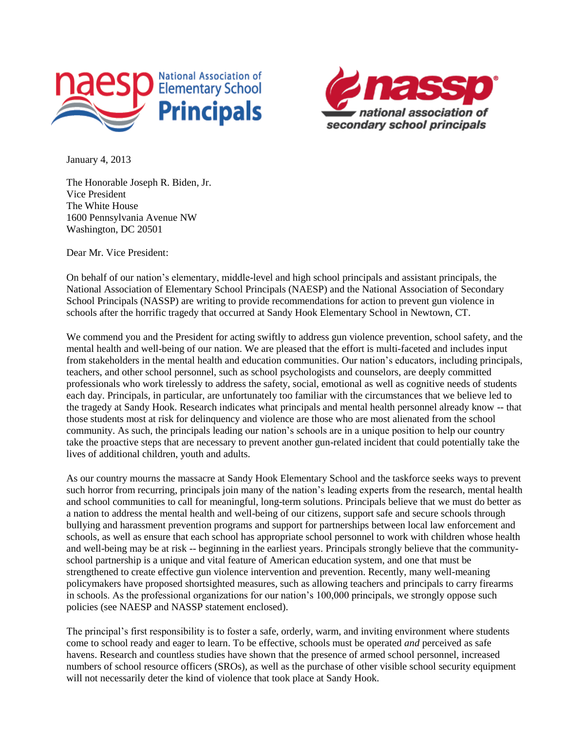



January 4, 2013

The Honorable Joseph R. Biden, Jr. Vice President The White House 1600 Pennsylvania Avenue NW Washington, DC 20501

Dear Mr. Vice President:

On behalf of our nation's elementary, middle-level and high school principals and assistant principals, the National Association of Elementary School Principals (NAESP) and the National Association of Secondary School Principals (NASSP) are writing to provide recommendations for action to prevent gun violence in schools after the horrific tragedy that occurred at Sandy Hook Elementary School in Newtown, CT.

We commend you and the President for acting swiftly to address gun violence prevention, school safety, and the mental health and well-being of our nation. We are pleased that the effort is multi-faceted and includes input from stakeholders in the mental health and education communities. Our nation's educators, including principals, teachers, and other school personnel, such as school psychologists and counselors, are deeply committed professionals who work tirelessly to address the safety, social, emotional as well as cognitive needs of students each day. Principals, in particular, are unfortunately too familiar with the circumstances that we believe led to the tragedy at Sandy Hook. Research indicates what principals and mental health personnel already know -- that those students most at risk for delinquency and violence are those who are most alienated from the school community. As such, the principals leading our nation's schools are in a unique position to help our country take the proactive steps that are necessary to prevent another gun-related incident that could potentially take the lives of additional children, youth and adults.

As our country mourns the massacre at Sandy Hook Elementary School and the taskforce seeks ways to prevent such horror from recurring, principals join many of the nation's leading experts from the research, mental health and school communities to call for meaningful, long-term solutions. Principals believe that we must do better as a nation to address the mental health and well-being of our citizens, support safe and secure schools through bullying and harassment prevention programs and support for partnerships between local law enforcement and schools, as well as ensure that each school has appropriate school personnel to work with children whose health and well-being may be at risk -- beginning in the earliest years. Principals strongly believe that the communityschool partnership is a unique and vital feature of American education system, and one that must be strengthened to create effective gun violence intervention and prevention. Recently, many well-meaning policymakers have proposed shortsighted measures, such as allowing teachers and principals to carry firearms in schools. As the professional organizations for our nation's 100,000 principals, we strongly oppose such policies (see NAESP and NASSP statement enclosed).

The principal's first responsibility is to foster a safe, orderly, warm, and inviting environment where students come to school ready and eager to learn. To be effective, schools must be operated *and* perceived as safe havens. Research and countless studies have shown that the presence of armed school personnel, increased numbers of school resource officers (SROs), as well as the purchase of other visible school security equipment will not necessarily deter the kind of violence that took place at Sandy Hook.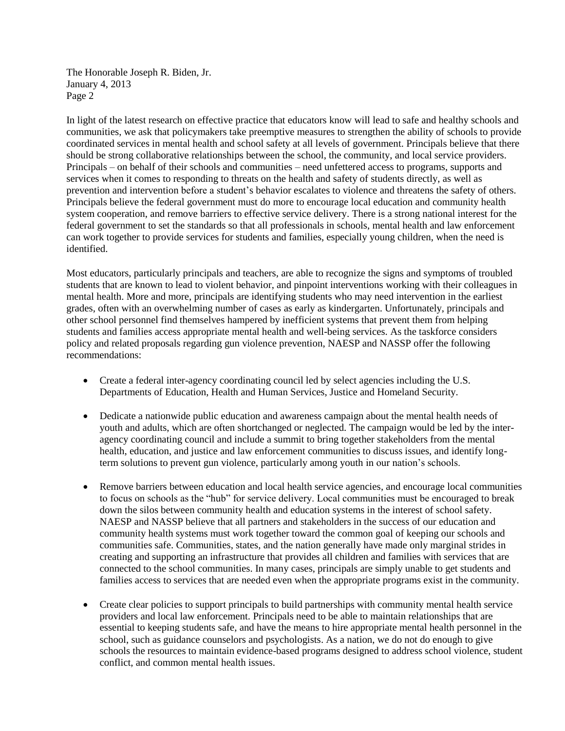The Honorable Joseph R. Biden, Jr. January 4, 2013 Page 2

In light of the latest research on effective practice that educators know will lead to safe and healthy schools and communities, we ask that policymakers take preemptive measures to strengthen the ability of schools to provide coordinated services in mental health and school safety at all levels of government. Principals believe that there should be strong collaborative relationships between the school, the community, and local service providers. Principals – on behalf of their schools and communities – need unfettered access to programs, supports and services when it comes to responding to threats on the health and safety of students directly, as well as prevention and intervention before a student's behavior escalates to violence and threatens the safety of others. Principals believe the federal government must do more to encourage local education and community health system cooperation, and remove barriers to effective service delivery. There is a strong national interest for the federal government to set the standards so that all professionals in schools, mental health and law enforcement can work together to provide services for students and families, especially young children, when the need is identified.

Most educators, particularly principals and teachers, are able to recognize the signs and symptoms of troubled students that are known to lead to violent behavior, and pinpoint interventions working with their colleagues in mental health. More and more, principals are identifying students who may need intervention in the earliest grades, often with an overwhelming number of cases as early as kindergarten. Unfortunately, principals and other school personnel find themselves hampered by inefficient systems that prevent them from helping students and families access appropriate mental health and well-being services. As the taskforce considers policy and related proposals regarding gun violence prevention, NAESP and NASSP offer the following recommendations:

- Create a federal inter-agency coordinating council led by select agencies including the U.S. Departments of Education, Health and Human Services, Justice and Homeland Security.
- Dedicate a nationwide public education and awareness campaign about the mental health needs of youth and adults, which are often shortchanged or neglected. The campaign would be led by the interagency coordinating council and include a summit to bring together stakeholders from the mental health, education, and justice and law enforcement communities to discuss issues, and identify longterm solutions to prevent gun violence, particularly among youth in our nation's schools.
- Remove barriers between education and local health service agencies, and encourage local communities to focus on schools as the "hub" for service delivery. Local communities must be encouraged to break down the silos between community health and education systems in the interest of school safety. NAESP and NASSP believe that all partners and stakeholders in the success of our education and community health systems must work together toward the common goal of keeping our schools and communities safe. Communities, states, and the nation generally have made only marginal strides in creating and supporting an infrastructure that provides all children and families with services that are connected to the school communities. In many cases, principals are simply unable to get students and families access to services that are needed even when the appropriate programs exist in the community.
- Create clear policies to support principals to build partnerships with community mental health service providers and local law enforcement. Principals need to be able to maintain relationships that are essential to keeping students safe, and have the means to hire appropriate mental health personnel in the school, such as guidance counselors and psychologists. As a nation, we do not do enough to give schools the resources to maintain evidence-based programs designed to address school violence, student conflict, and common mental health issues.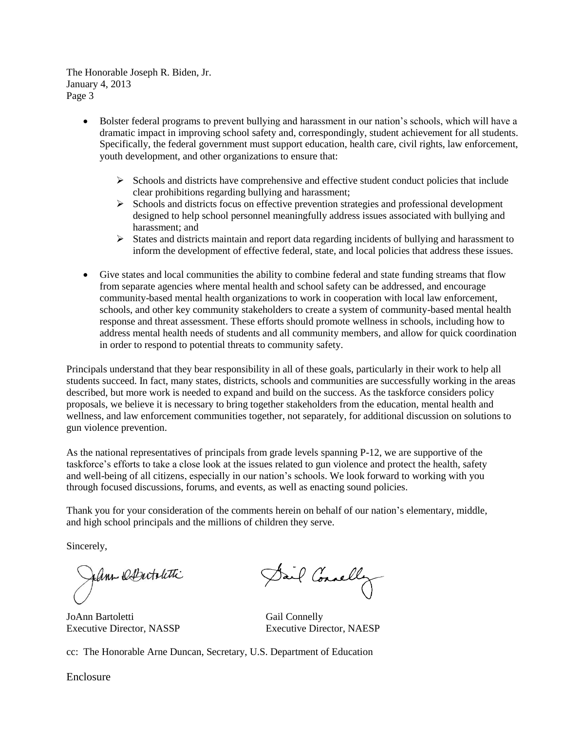The Honorable Joseph R. Biden, Jr. January 4, 2013 Page 3

- Bolster federal programs to prevent bullying and harassment in our nation's schools, which will have a dramatic impact in improving school safety and, correspondingly, student achievement for all students. Specifically, the federal government must support education, health care, civil rights, law enforcement, youth development, and other organizations to ensure that:
	- $\triangleright$  Schools and districts have comprehensive and effective student conduct policies that include clear prohibitions regarding bullying and harassment;
	- $\triangleright$  Schools and districts focus on effective prevention strategies and professional development designed to help school personnel meaningfully address issues associated with bullying and harassment; and
	- States and districts maintain and report data regarding incidents of bullying and harassment to inform the development of effective federal, state, and local policies that address these issues.
- Give states and local communities the ability to combine federal and state funding streams that flow from separate agencies where mental health and school safety can be addressed, and encourage community-based mental health organizations to work in cooperation with local law enforcement, schools, and other key community stakeholders to create a system of community-based mental health response and threat assessment. These efforts should promote wellness in schools, including how to address mental health needs of students and all community members, and allow for quick coordination in order to respond to potential threats to community safety.

Principals understand that they bear responsibility in all of these goals, particularly in their work to help all students succeed. In fact, many states, districts, schools and communities are successfully working in the areas described, but more work is needed to expand and build on the success. As the taskforce considers policy proposals, we believe it is necessary to bring together stakeholders from the education, mental health and wellness, and law enforcement communities together, not separately, for additional discussion on solutions to gun violence prevention.

As the national representatives of principals from grade levels spanning P-12, we are supportive of the taskforce's efforts to take a close look at the issues related to gun violence and protect the health, safety and well-being of all citizens, especially in our nation's schools. We look forward to working with you through focused discussions, forums, and events, as well as enacting sound policies.

Thank you for your consideration of the comments herein on behalf of our nation's elementary, middle, and high school principals and the millions of children they serve.

Sincerely,

fann DDutolitti

JoAnn Bartoletti Gail Connelly

Dail Connelly

Executive Director, NASSP Executive Director, NAESP

cc: The Honorable Arne Duncan, Secretary, U.S. Department of Education

Enclosure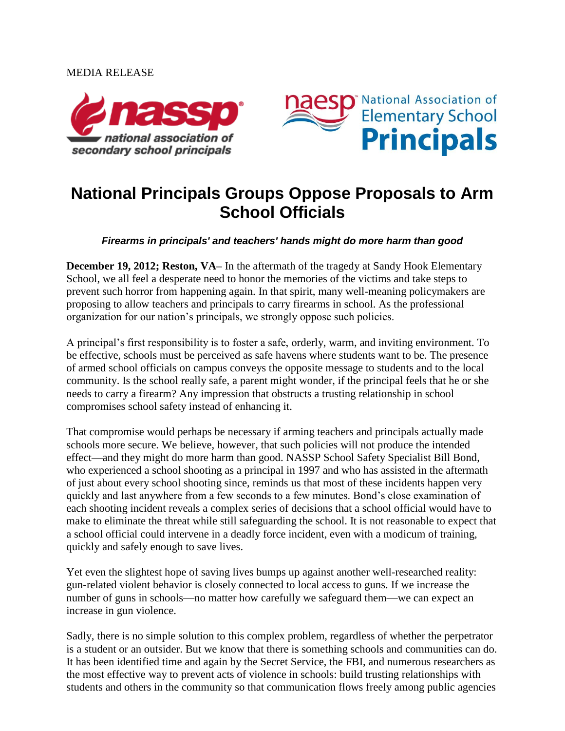## MEDIA RELEASE





## **National Principals Groups Oppose Proposals to Arm School Officials**

*Firearms in principals' and teachers' hands might do more harm than good*

**December 19, 2012; Reston, VA–** In the aftermath of the tragedy at Sandy Hook Elementary School, we all feel a desperate need to honor the memories of the victims and take steps to prevent such horror from happening again. In that spirit, many well-meaning policymakers are proposing to allow teachers and principals to carry firearms in school. As the professional organization for our nation's principals, we strongly oppose such policies.

A principal's first responsibility is to foster a safe, orderly, warm, and inviting environment. To be effective, schools must be perceived as safe havens where students want to be. The presence of armed school officials on campus conveys the opposite message to students and to the local community. Is the school really safe, a parent might wonder, if the principal feels that he or she needs to carry a firearm? Any impression that obstructs a trusting relationship in school compromises school safety instead of enhancing it.

That compromise would perhaps be necessary if arming teachers and principals actually made schools more secure. We believe, however, that such policies will not produce the intended effect—and they might do more harm than good. NASSP School Safety Specialist Bill Bond, who experienced a school shooting as a principal in 1997 and who has assisted in the aftermath of just about every school shooting since, reminds us that most of these incidents happen very quickly and last anywhere from a few seconds to a few minutes. Bond's close examination of each shooting incident reveals a complex series of decisions that a school official would have to make to eliminate the threat while still safeguarding the school. It is not reasonable to expect that a school official could intervene in a deadly force incident, even with a modicum of training, quickly and safely enough to save lives.

Yet even the slightest hope of saving lives bumps up against another well-researched reality: gun-related violent behavior is closely connected to local access to guns. If we increase the number of guns in schools—no matter how carefully we safeguard them—we can expect an increase in gun violence.

Sadly, there is no simple solution to this complex problem, regardless of whether the perpetrator is a student or an outsider. But we know that there is something schools and communities can do. It has been identified time and again by the Secret Service, the FBI, and numerous researchers as the most effective way to prevent acts of violence in schools: build trusting relationships with students and others in the community so that communication flows freely among public agencies